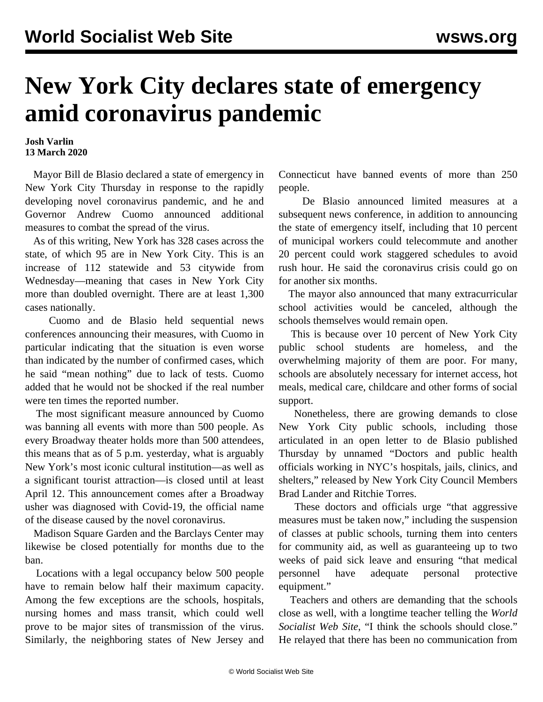## **New York City declares state of emergency amid coronavirus pandemic**

## **Josh Varlin 13 March 2020**

 Mayor Bill de Blasio declared a state of emergency in New York City Thursday in response to the rapidly developing novel coronavirus pandemic, and he and Governor Andrew Cuomo announced additional measures to combat the spread of the virus.

 As of this writing, New York has 328 cases across the state, of which 95 are in New York City. This is an increase of 112 statewide and 53 citywide from Wednesday—meaning that cases in New York City more than doubled overnight. There are at least 1,300 cases nationally.

 Cuomo and de Blasio held sequential news conferences announcing their measures, with Cuomo in particular indicating that the situation is even worse than indicated by the number of confirmed cases, which he said "mean nothing" due to lack of tests. Cuomo added that he would not be shocked if the real number were ten times the reported number.

 The most significant measure announced by Cuomo was banning all events with more than 500 people. As every Broadway theater holds more than 500 attendees, this means that as of 5 p.m. yesterday, what is arguably New York's most iconic cultural institution—as well as a significant tourist attraction—is closed until at least April 12. This announcement comes after a Broadway usher was diagnosed with Covid-19, the official name of the disease caused by the novel coronavirus.

 Madison Square Garden and the Barclays Center may likewise be closed potentially for months due to the ban.

 Locations with a legal occupancy below 500 people have to remain below half their maximum capacity. Among the few exceptions are the schools, hospitals, nursing homes and mass transit, which could well prove to be major sites of transmission of the virus. Similarly, the neighboring states of New Jersey and Connecticut have banned events of more than 250 people.

 De Blasio announced limited measures at a subsequent news conference, in addition to announcing the state of emergency itself, including that 10 percent of municipal workers could telecommute and another 20 percent could work staggered schedules to avoid rush hour. He said the coronavirus crisis could go on for another six months.

 The mayor also announced that many extracurricular school activities would be canceled, although the schools themselves would remain open.

 This is because over 10 percent of New York City public school students are homeless, and the overwhelming majority of them are poor. For many, schools are absolutely necessary for internet access, hot meals, medical care, childcare and other forms of social support.

 Nonetheless, there are growing demands to close New York City public schools, including those articulated in an [open letter](https://medium.com/@bradlander/doctors-in-nyc-hospitals-jails-and-shelters-call-on-the-city-to-take-more-aggressive-action-to-fb75f0b131c2) to de Blasio published Thursday by unnamed "Doctors and public health officials working in NYC's hospitals, jails, clinics, and shelters," released by New York City Council Members Brad Lander and Ritchie Torres.

 These doctors and officials urge "that aggressive measures must be taken now," including the suspension of classes at public schools, turning them into centers for community aid, as well as guaranteeing up to two weeks of paid sick leave and ensuring "that medical personnel have adequate personal protective equipment."

 Teachers and others are demanding that the schools close as well, with a longtime teacher telling the *World Socialist Web Site*, "I think the schools should close." He relayed that there has been no communication from